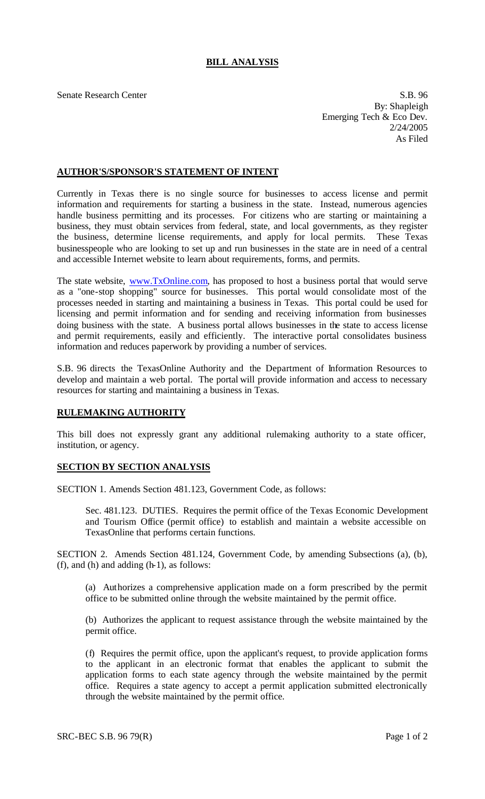## **BILL ANALYSIS**

Senate Research Center S.B. 96 By: Shapleigh Emerging Tech & Eco Dev. 2/24/2005 As Filed

## **AUTHOR'S/SPONSOR'S STATEMENT OF INTENT**

Currently in Texas there is no single source for businesses to access license and permit information and requirements for starting a business in the state. Instead, numerous agencies handle business permitting and its processes. For citizens who are starting or maintaining a business, they must obtain services from federal, state, and local governments, as they register the business, determine license requirements, and apply for local permits. These Texas businesspeople who are looking to set up and run businesses in the state are in need of a central and accessible Internet website to learn about requirements, forms, and permits.

The state website, www.TxOnline.com, has proposed to host a business portal that would serve as a "one-stop shopping" source for businesses. This portal would consolidate most of the processes needed in starting and maintaining a business in Texas. This portal could be used for licensing and permit information and for sending and receiving information from businesses doing business with the state. A business portal allows businesses in the state to access license and permit requirements, easily and efficiently. The interactive portal consolidates business information and reduces paperwork by providing a number of services.

S.B. 96 directs the TexasOnline Authority and the Department of Information Resources to develop and maintain a web portal. The portal will provide information and access to necessary resources for starting and maintaining a business in Texas.

## **RULEMAKING AUTHORITY**

This bill does not expressly grant any additional rulemaking authority to a state officer, institution, or agency.

## **SECTION BY SECTION ANALYSIS**

SECTION 1. Amends Section 481.123, Government Code, as follows:

Sec. 481.123. DUTIES. Requires the permit office of the Texas Economic Development and Tourism Office (permit office) to establish and maintain a website accessible on TexasOnline that performs certain functions.

SECTION 2. Amends Section 481.124, Government Code, by amending Subsections (a), (b), (f), and (h) and adding  $(h-1)$ , as follows:

(a) Authorizes a comprehensive application made on a form prescribed by the permit office to be submitted online through the website maintained by the permit office.

(b) Authorizes the applicant to request assistance through the website maintained by the permit office.

(f) Requires the permit office, upon the applicant's request, to provide application forms to the applicant in an electronic format that enables the applicant to submit the application forms to each state agency through the website maintained by the permit office. Requires a state agency to accept a permit application submitted electronically through the website maintained by the permit office.